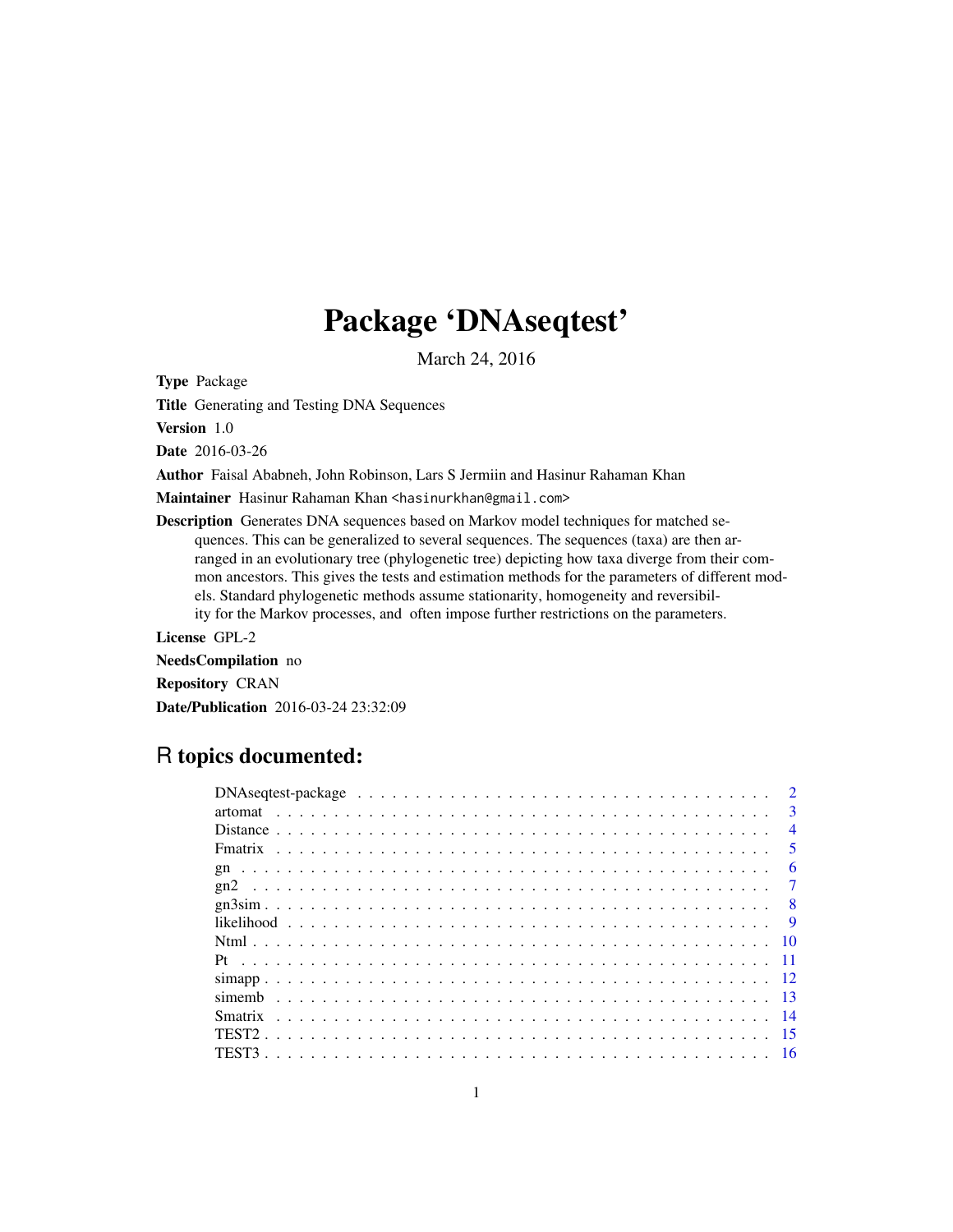# Package 'DNAseqtest'

March 24, 2016

Type Package

Title Generating and Testing DNA Sequences

Version 1.0

Date 2016-03-26

Author Faisal Ababneh, John Robinson, Lars S Jermiin and Hasinur Rahaman Khan

Maintainer Hasinur Rahaman Khan <hasinurkhan@gmail.com>

Description Generates DNA sequences based on Markov model techniques for matched sequences. This can be generalized to several sequences. The sequences (taxa) are then arranged in an evolutionary tree (phylogenetic tree) depicting how taxa diverge from their common ancestors. This gives the tests and estimation methods for the parameters of different models. Standard phylogenetic methods assume stationarity, homogeneity and reversibility for the Markov processes, and often impose further restrictions on the parameters.

License GPL-2

NeedsCompilation no Repository CRAN Date/Publication 2016-03-24 23:32:09

# R topics documented:

| $\mathbf{3}$   |
|----------------|
| $\overline{4}$ |
| .5.            |
| 6              |
| $\overline{7}$ |
| $\overline{8}$ |
| $\overline{9}$ |
|                |
|                |
|                |
|                |
|                |
|                |
|                |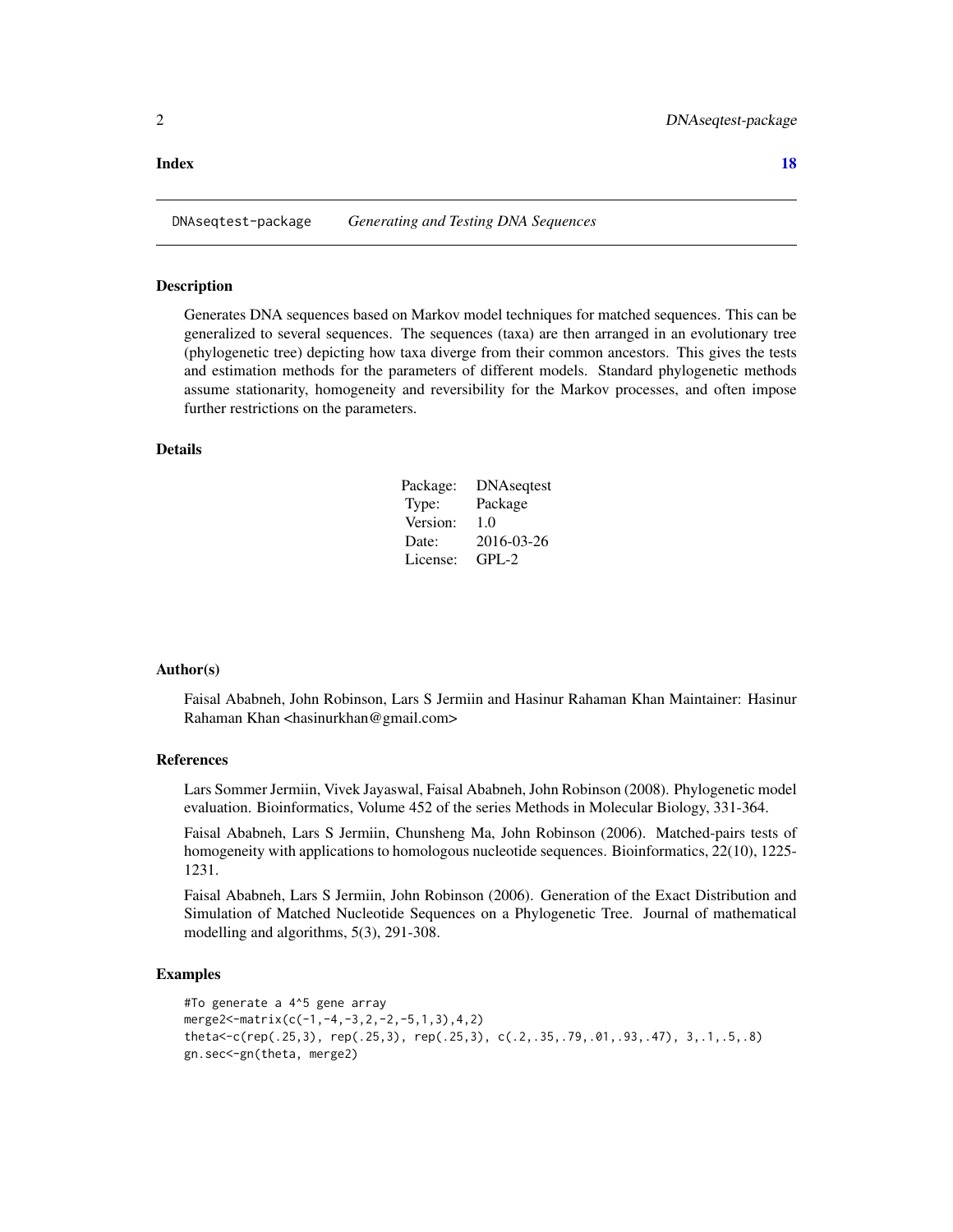#### <span id="page-1-0"></span>**Index** 2008 **[18](#page-17-0)**

DNAseqtest-package *Generating and Testing DNA Sequences*

#### Description

Generates DNA sequences based on Markov model techniques for matched sequences. This can be generalized to several sequences. The sequences (taxa) are then arranged in an evolutionary tree (phylogenetic tree) depicting how taxa diverge from their common ancestors. This gives the tests and estimation methods for the parameters of different models. Standard phylogenetic methods assume stationarity, homogeneity and reversibility for the Markov processes, and often impose further restrictions on the parameters.

#### Details

| Package: | <b>DNA</b> seqtest |
|----------|--------------------|
| Type:    | Package            |
| Version: | 1.0                |
| Date:    | 2016-03-26         |
| License: | GPL-2              |

#### Author(s)

Faisal Ababneh, John Robinson, Lars S Jermiin and Hasinur Rahaman Khan Maintainer: Hasinur Rahaman Khan <hasinurkhan@gmail.com>

# References

Lars Sommer Jermiin, Vivek Jayaswal, Faisal Ababneh, John Robinson (2008). Phylogenetic model evaluation. Bioinformatics, Volume 452 of the series Methods in Molecular Biology, 331-364.

Faisal Ababneh, Lars S Jermiin, Chunsheng Ma, John Robinson (2006). Matched-pairs tests of homogeneity with applications to homologous nucleotide sequences. Bioinformatics, 22(10), 1225-1231.

Faisal Ababneh, Lars S Jermiin, John Robinson (2006). Generation of the Exact Distribution and Simulation of Matched Nucleotide Sequences on a Phylogenetic Tree. Journal of mathematical modelling and algorithms, 5(3), 291-308.

```
#To generate a 4^5 gene array
merge2<-matrix(c(-1,-4,-3,2,-2,-5,1,3),4,2)
theta<-c(rep(.25,3), rep(.25,3), rep(.25,3), c(.2,.35,.79,.01,.93,.47), 3,.1,.5,.8)
gn.sec<-gn(theta, merge2)
```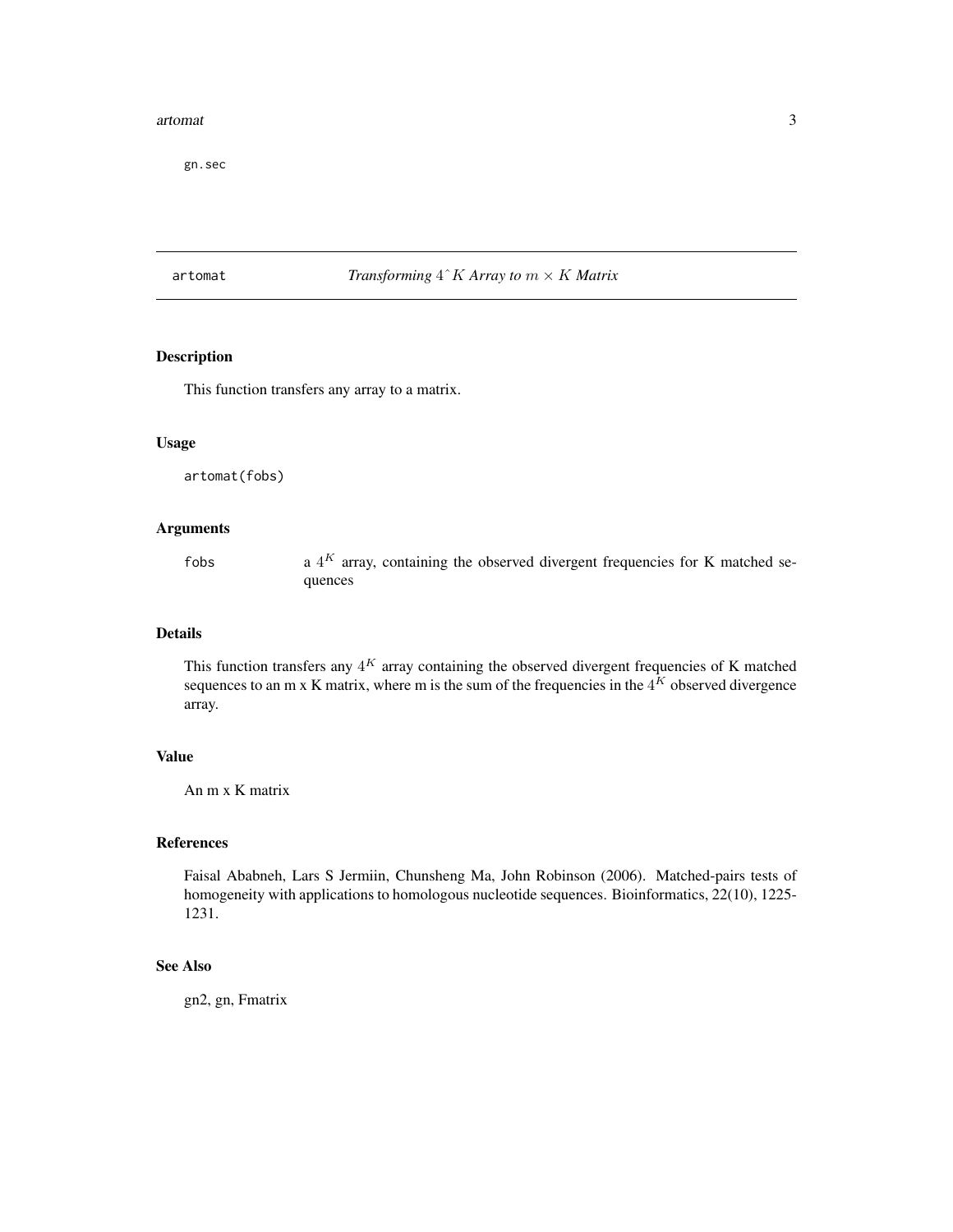#### <span id="page-2-0"></span>artomat 3

gn.sec

# artomat *Transforming* 4ˆK *Array to* m × K *Matrix*

#### Description

This function transfers any array to a matrix.

#### Usage

artomat(fobs)

# Arguments

fobs

a  $4^K$  array, containing the observed divergent frequencies for K matched sequences

# Details

This function transfers any  $4^K$  array containing the observed divergent frequencies of K matched sequences to an m x K matrix, where m is the sum of the frequencies in the  $4^K$  observed divergence array.

# Value

An m x K matrix

# References

Faisal Ababneh, Lars S Jermiin, Chunsheng Ma, John Robinson (2006). Matched-pairs tests of homogeneity with applications to homologous nucleotide sequences. Bioinformatics, 22(10), 1225- 1231.

# See Also

gn2, gn, Fmatrix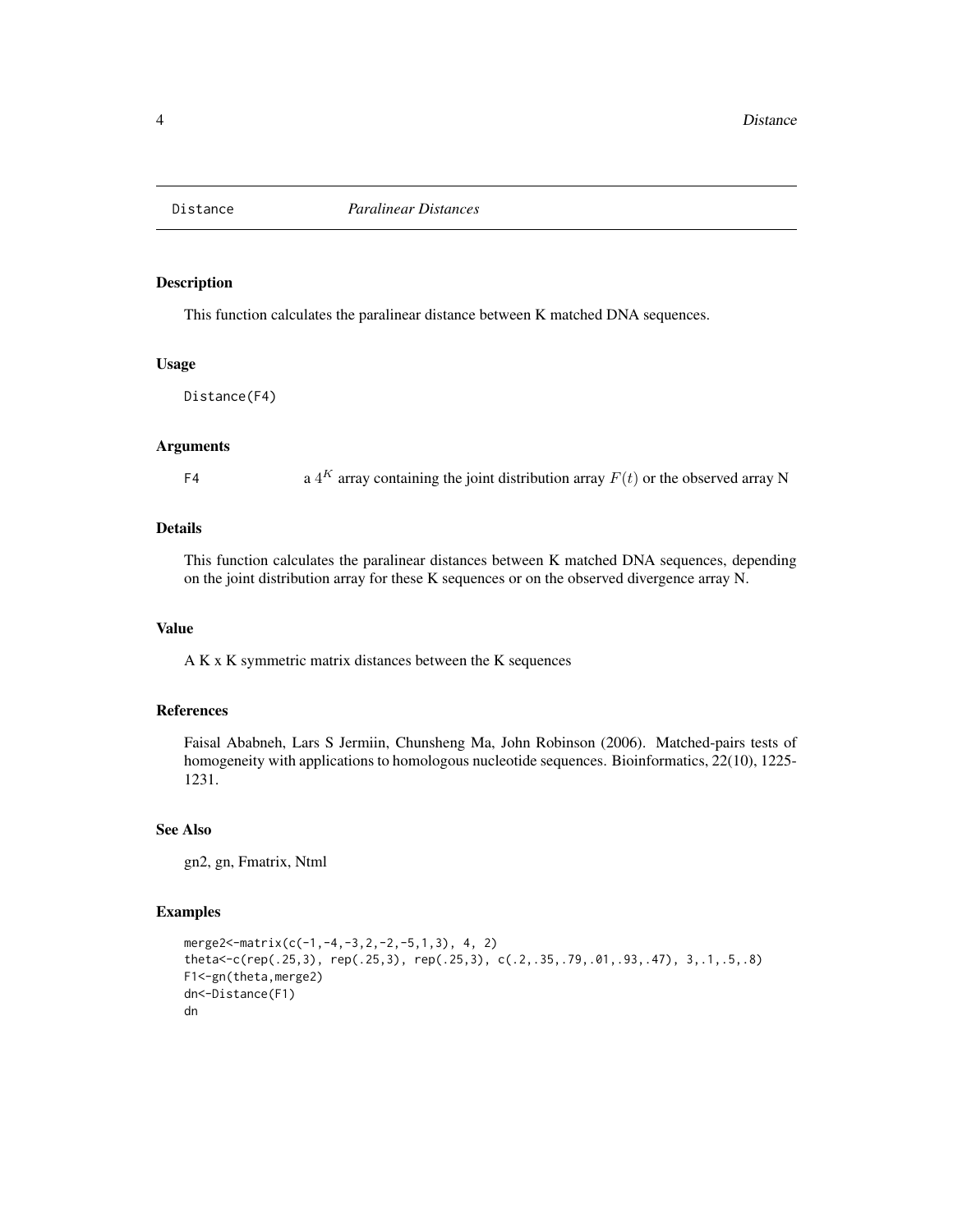<span id="page-3-0"></span>

# Description

This function calculates the paralinear distance between K matched DNA sequences.

#### Usage

Distance(F4)

#### Arguments

F4 a  $4^K$  array containing the joint distribution array  $F(t)$  or the observed array N

# Details

This function calculates the paralinear distances between K matched DNA sequences, depending on the joint distribution array for these K sequences or on the observed divergence array N.

#### Value

A K x K symmetric matrix distances between the K sequences

#### References

Faisal Ababneh, Lars S Jermiin, Chunsheng Ma, John Robinson (2006). Matched-pairs tests of homogeneity with applications to homologous nucleotide sequences. Bioinformatics, 22(10), 1225- 1231.

#### See Also

gn2, gn, Fmatrix, Ntml

```
merge2<-matrix(c(-1,-4,-3,2,-2,-5,1,3), 4, 2)
theta<-c(rep(.25,3), rep(.25,3), rep(.25,3), c(.2,.35,.79,.01,.93,.47), 3,.1,.5,.8)
F1<-gn(theta,merge2)
dn<-Distance(F1)
dn
```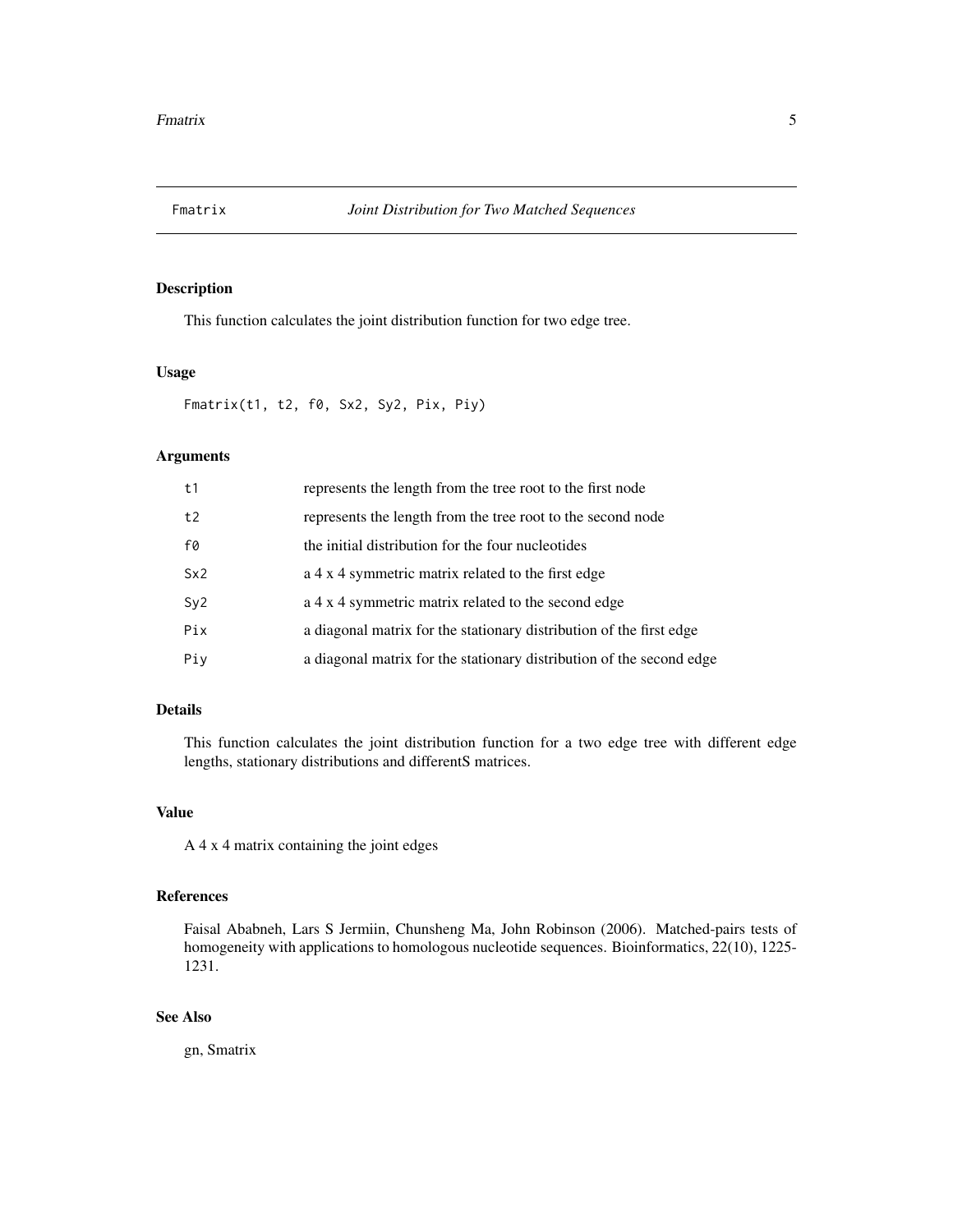<span id="page-4-0"></span>

# Description

This function calculates the joint distribution function for two edge tree.

#### Usage

Fmatrix(t1, t2, f0, Sx2, Sy2, Pix, Piy)

# Arguments

| t1  | represents the length from the tree root to the first node           |
|-----|----------------------------------------------------------------------|
| t2  | represents the length from the tree root to the second node          |
| f0  | the initial distribution for the four nucleotides                    |
| Sx2 | a 4 x 4 symmetric matrix related to the first edge                   |
| Sy2 | a 4 x 4 symmetric matrix related to the second edge                  |
| Pix | a diagonal matrix for the stationary distribution of the first edge  |
| Piy | a diagonal matrix for the stationary distribution of the second edge |

# Details

This function calculates the joint distribution function for a two edge tree with different edge lengths, stationary distributions and differentS matrices.

# Value

A 4 x 4 matrix containing the joint edges

### References

Faisal Ababneh, Lars S Jermiin, Chunsheng Ma, John Robinson (2006). Matched-pairs tests of homogeneity with applications to homologous nucleotide sequences. Bioinformatics, 22(10), 1225- 1231.

# See Also

gn, Smatrix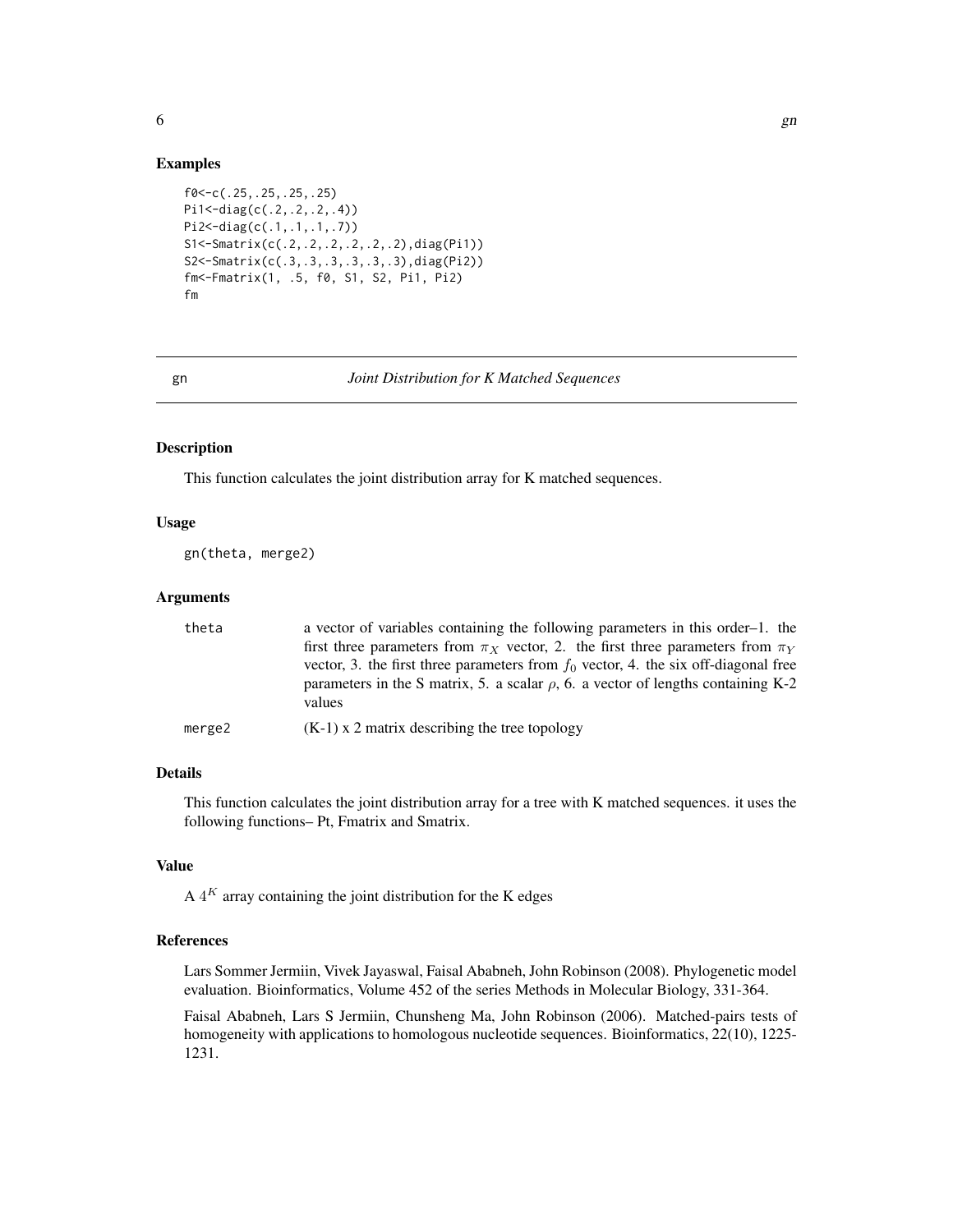```
f0<-c(.25,.25,.25,.25)
Pi1<-diag(c(.2,.2,.2,.4))
Pi2<-diag(c(.1,.1,.1,.7))
S1<-Smatrix(c(.2,.2,.2,.2,.2,.2),diag(Pi1))
S2<-Smatrix(c(.3,.3,.3,.3,.3,.3),diag(Pi2))
fm<-Fmatrix(1, .5, f0, S1, S2, Pi1, Pi2)
fm
```
#### gn *Joint Distribution for K Matched Sequences*

#### Description

This function calculates the joint distribution array for K matched sequences.

# Usage

gn(theta, merge2)

#### Arguments

| theta  | a vector of variables containing the following parameters in this order-1. the                                                                                                  |
|--------|---------------------------------------------------------------------------------------------------------------------------------------------------------------------------------|
|        | first three parameters from $\pi_X$ vector, 2. the first three parameters from $\pi_Y$<br>vector, 3. the first three parameters from $f_0$ vector, 4. the six off-diagonal free |
|        | parameters in the S matrix, 5. a scalar $\rho$ , 6. a vector of lengths containing K-2<br>values                                                                                |
| merge2 | $(K-1)$ x 2 matrix describing the tree topology                                                                                                                                 |

# Details

This function calculates the joint distribution array for a tree with K matched sequences. it uses the following functions– Pt, Fmatrix and Smatrix.

# Value

A  $4^K$  array containing the joint distribution for the K edges

# References

Lars Sommer Jermiin, Vivek Jayaswal, Faisal Ababneh, John Robinson (2008). Phylogenetic model evaluation. Bioinformatics, Volume 452 of the series Methods in Molecular Biology, 331-364.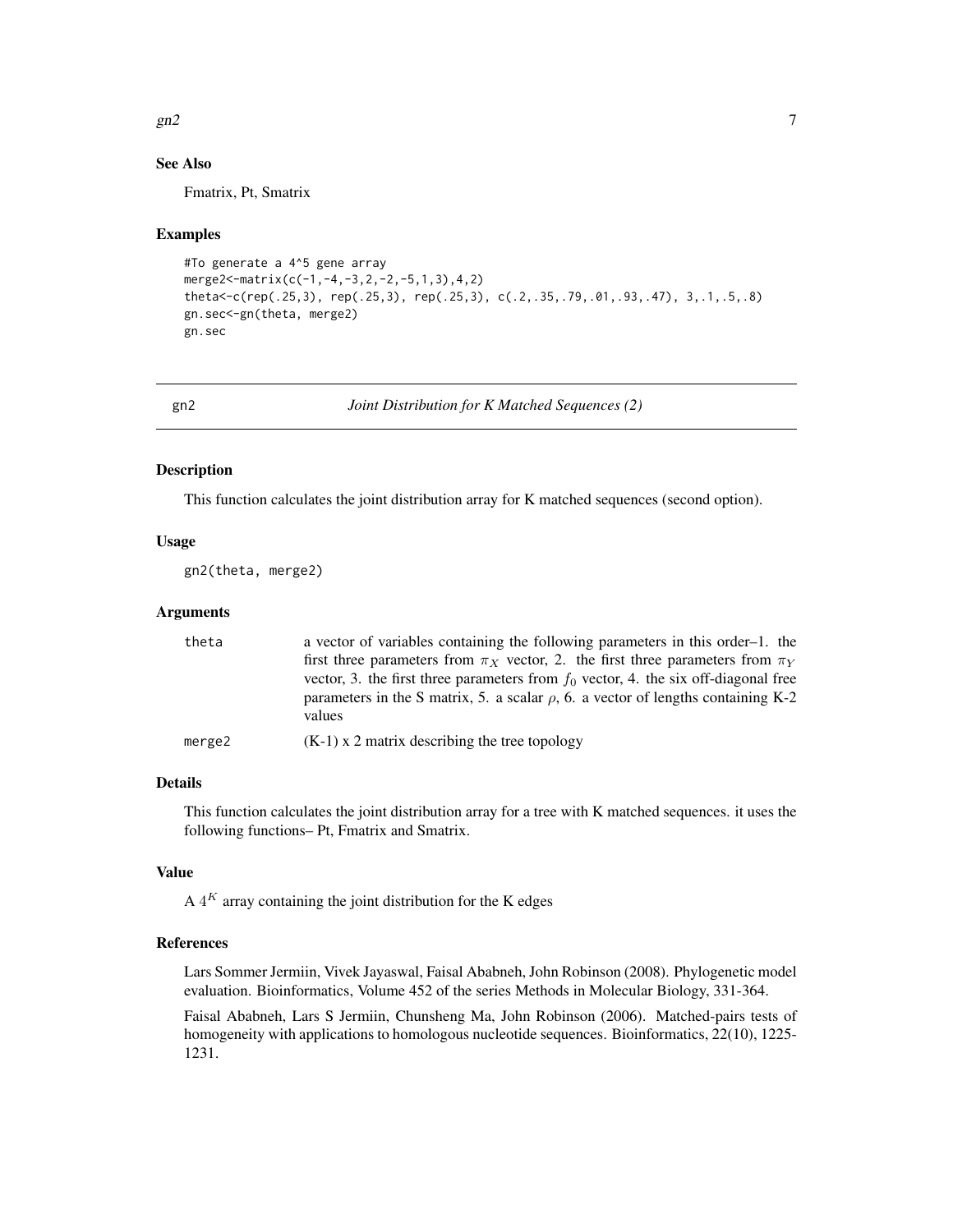#### <span id="page-6-0"></span> $gn2$  7

### See Also

Fmatrix, Pt, Smatrix

#### Examples

```
#To generate a 4^5 gene array
merge2<-matrix(c(-1,-4,-3,2,-2,-5,1,3),4,2)
theta<-c(rep(.25,3), rep(.25,3), rep(.25,3), c(.2,.35,.79,.01,.93,.47), 3,.1,.5,.8)
gn.sec<-gn(theta, merge2)
gn.sec
```
gn2 *Joint Distribution for K Matched Sequences (2)*

# Description

This function calculates the joint distribution array for K matched sequences (second option).

#### Usage

gn2(theta, merge2)

#### Arguments

| theta  | a vector of variables containing the following parameters in this order-1. the                   |
|--------|--------------------------------------------------------------------------------------------------|
|        | first three parameters from $\pi_X$ vector, 2. the first three parameters from $\pi_Y$           |
|        | vector, 3. the first three parameters from $f_0$ vector, 4. the six off-diagonal free            |
|        | parameters in the S matrix, 5. a scalar $\rho$ , 6. a vector of lengths containing K-2<br>values |
|        |                                                                                                  |
| merge2 | $(K-1)$ x 2 matrix describing the tree topology                                                  |

# Details

This function calculates the joint distribution array for a tree with K matched sequences. it uses the following functions– Pt, Fmatrix and Smatrix.

# Value

A  $4^K$  array containing the joint distribution for the K edges

#### References

Lars Sommer Jermiin, Vivek Jayaswal, Faisal Ababneh, John Robinson (2008). Phylogenetic model evaluation. Bioinformatics, Volume 452 of the series Methods in Molecular Biology, 331-364.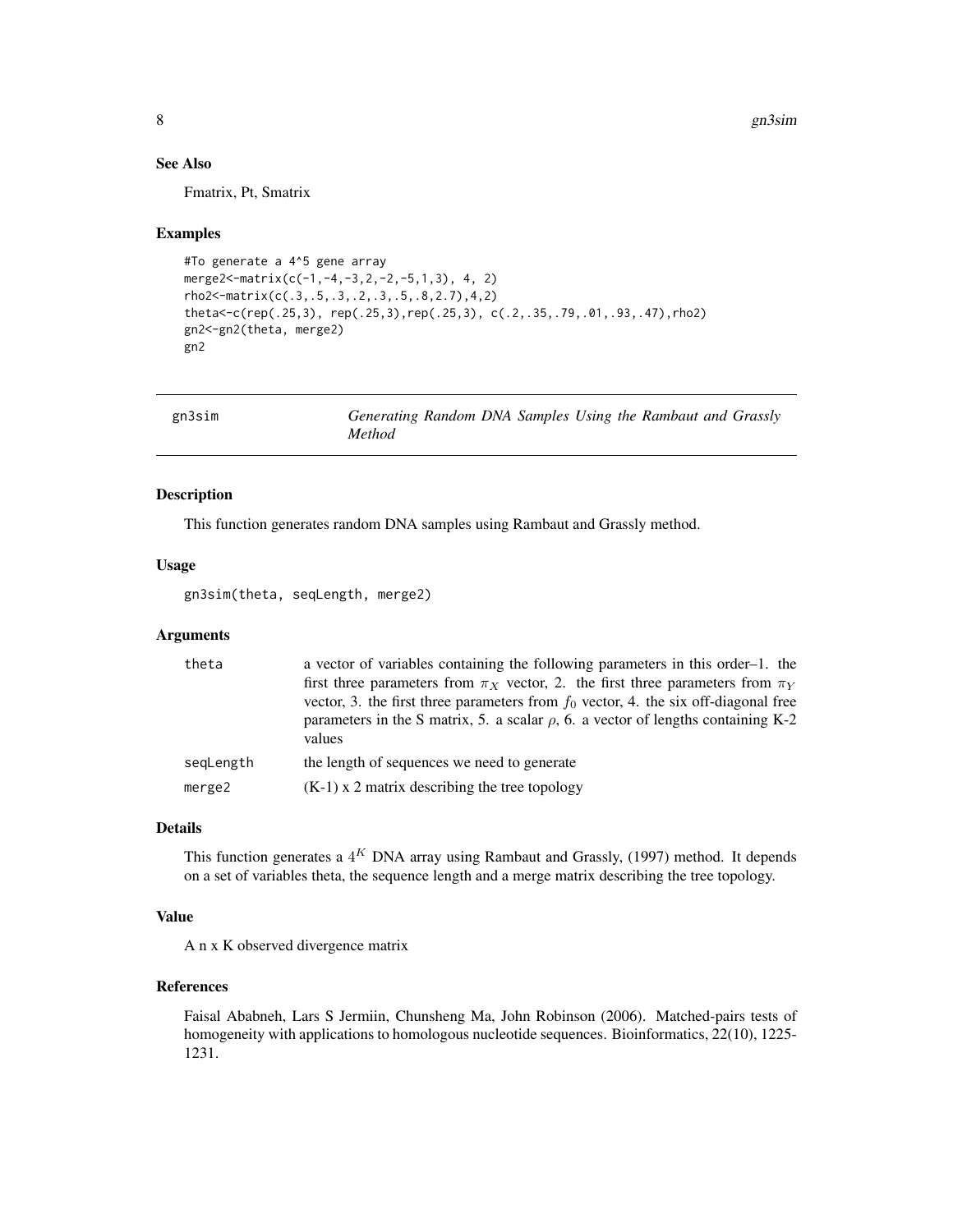# <span id="page-7-0"></span>See Also

Fmatrix, Pt, Smatrix

#### Examples

```
#To generate a 4^5 gene array
merge2<-matrix(c(-1,-4,-3,2,-2,-5,1,3), 4, 2)
rho2<-matrix(c(.3,.5,.3,.2,.3,.5,.8,2.7),4,2)
theta<-c(rep(.25,3), rep(.25,3),rep(.25,3), c(.2,.35,.79,.01,.93,.47),rho2)
gn2<-gn2(theta, merge2)
gn2
```

| gn3sim | Generating Random DNA Samples Using the Rambaut and Grassly |  |  |  |
|--------|-------------------------------------------------------------|--|--|--|
|        | <i>Method</i>                                               |  |  |  |

# Description

This function generates random DNA samples using Rambaut and Grassly method.

#### Usage

gn3sim(theta, seqLength, merge2)

# Arguments

| theta     | a vector of variables containing the following parameters in this order-1. the<br>first three parameters from $\pi_X$ vector, 2. the first three parameters from $\pi_Y$                  |
|-----------|-------------------------------------------------------------------------------------------------------------------------------------------------------------------------------------------|
|           | vector, 3. the first three parameters from $f_0$ vector, 4. the six off-diagonal free<br>parameters in the S matrix, 5. a scalar $\rho$ , 6. a vector of lengths containing K-2<br>values |
| segLength | the length of sequences we need to generate                                                                                                                                               |
| merge2    | $(K-1)$ x 2 matrix describing the tree topology                                                                                                                                           |

# Details

This function generates a  $4^K$  DNA array using Rambaut and Grassly, (1997) method. It depends on a set of variables theta, the sequence length and a merge matrix describing the tree topology.

# Value

A n x K observed divergence matrix

#### References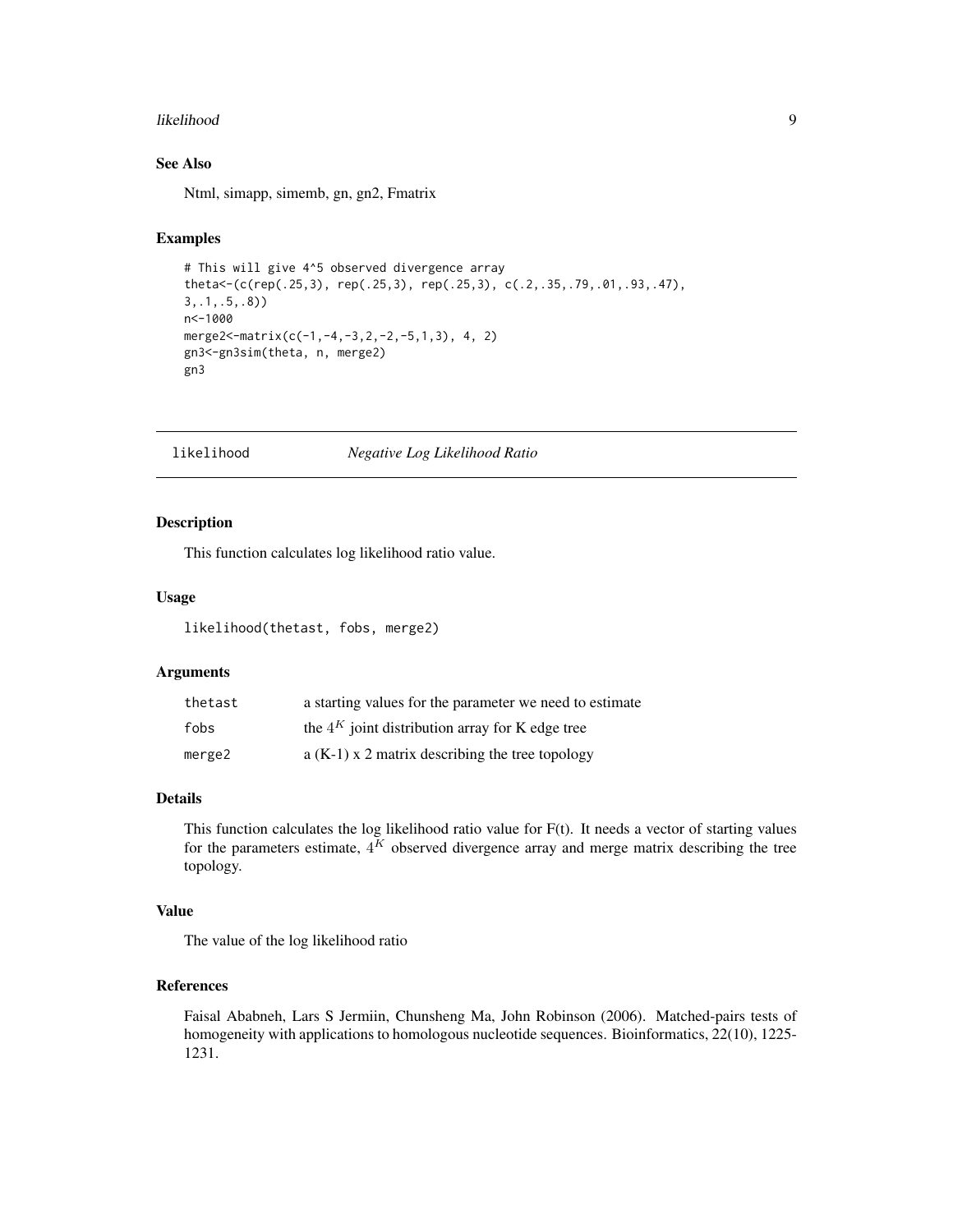#### <span id="page-8-0"></span>likelihood 9

# See Also

Ntml, simapp, simemb, gn, gn2, Fmatrix

# Examples

```
# This will give 4^5 observed divergence array
theta<-(c(rep(.25,3), rep(.25,3), rep(.25,3), c(.2,.35,.79,.01,.93,.47),
3,.1,.5,.8))
n<-1000
merge2<-matrix(c(-1,-4,-3,2,-2,-5,1,3), 4, 2)
gn3<-gn3sim(theta, n, merge2)
gn3
```
likelihood *Negative Log Likelihood Ratio*

# Description

This function calculates log likelihood ratio value.

#### Usage

likelihood(thetast, fobs, merge2)

#### Arguments

| thetast | a starting values for the parameter we need to estimate |
|---------|---------------------------------------------------------|
| fobs    | the $4^K$ joint distribution array for K edge tree      |
| merge2  | $a(K-1)$ x 2 matrix describing the tree topology        |

### Details

This function calculates the log likelihood ratio value for F(t). It needs a vector of starting values for the parameters estimate,  $4^K$  observed divergence array and merge matrix describing the tree topology.

#### Value

The value of the log likelihood ratio

#### References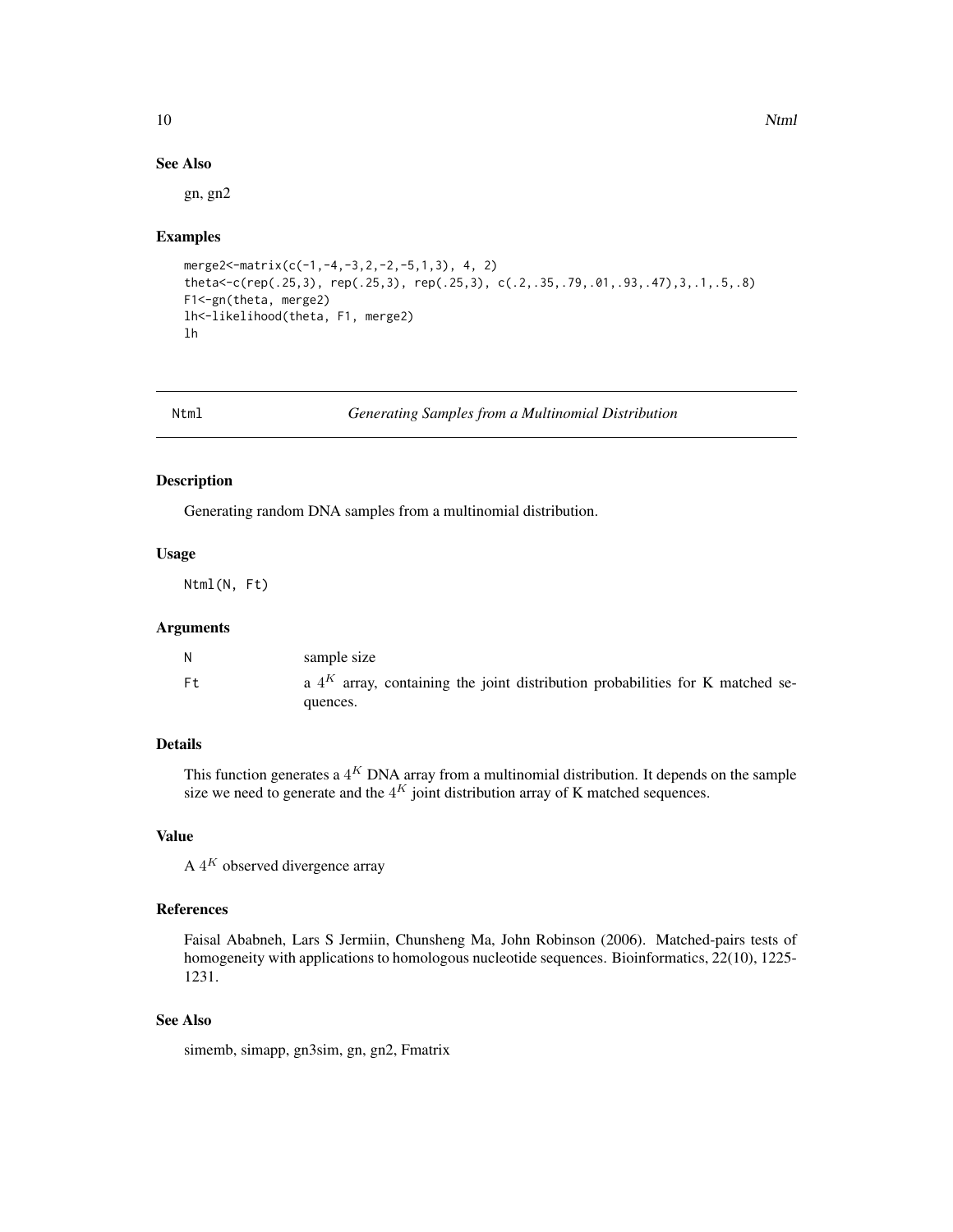#### See Also

gn, gn2

#### Examples

```
merge2<-matrix(c(-1,-4,-3,2,-2,-5,1,3), 4, 2)
theta<-c(rep(.25,3), rep(.25,3), rep(.25,3), c(.2,.35,.79,.01,.93,.47),3,.1,.5,.8)
F1<-gn(theta, merge2)
lh<-likelihood(theta, F1, merge2)
lh
```
Ntml *Generating Samples from a Multinomial Distribution*

### Description

Generating random DNA samples from a multinomial distribution.

#### Usage

Ntml(N, Ft)

#### Arguments

|    | sample size                                                                      |
|----|----------------------------------------------------------------------------------|
| Ft | a $4^K$ array, containing the joint distribution probabilities for K matched se- |
|    | quences.                                                                         |

# Details

This function generates a  $4^K$  DNA array from a multinomial distribution. It depends on the sample size we need to generate and the  $4^K$  joint distribution array of K matched sequences.

### Value

A  $4^K$  observed divergence array

#### References

Faisal Ababneh, Lars S Jermiin, Chunsheng Ma, John Robinson (2006). Matched-pairs tests of homogeneity with applications to homologous nucleotide sequences. Bioinformatics, 22(10), 1225- 1231.

# See Also

simemb, simapp, gn3sim, gn, gn2, Fmatrix

<span id="page-9-0"></span>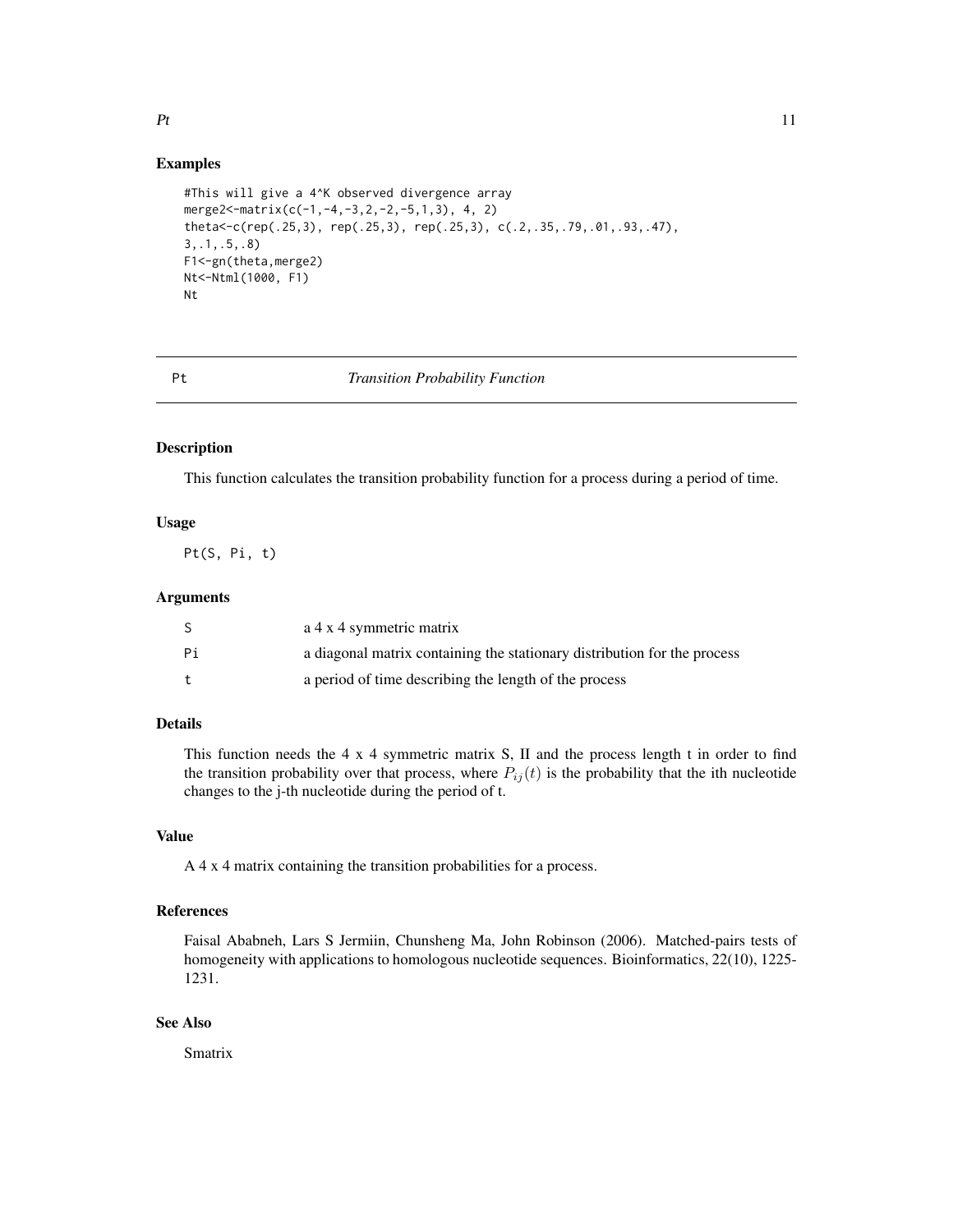```
#This will give a 4^K observed divergence array
merge2<-matrix(c(-1,-4,-3,2,-2,-5,1,3), 4, 2)
theta<-c(rep(.25,3), rep(.25,3), rep(.25,3), c(.2,.35,.79,.01,.93,.47),
3,.1,.5,.8)
F1<-gn(theta,merge2)
Nt<-Ntml(1000, F1)
Nt
```
# Pt *Transition Probability Function*

#### Description

This function calculates the transition probability function for a process during a period of time.

# Usage

Pt(S, Pi, t)

#### Arguments

|    | a 4 x 4 symmetric matrix                                                 |
|----|--------------------------------------------------------------------------|
| Рi | a diagonal matrix containing the stationary distribution for the process |
|    | a period of time describing the length of the process                    |

# Details

This function needs the 4 x 4 symmetric matrix S, II and the process length t in order to find the transition probability over that process, where  $P_{ij}(t)$  is the probability that the ith nucleotide changes to the j-th nucleotide during the period of t.

### Value

A 4 x 4 matrix containing the transition probabilities for a process.

#### References

Faisal Ababneh, Lars S Jermiin, Chunsheng Ma, John Robinson (2006). Matched-pairs tests of homogeneity with applications to homologous nucleotide sequences. Bioinformatics, 22(10), 1225- 1231.

#### See Also

Smatrix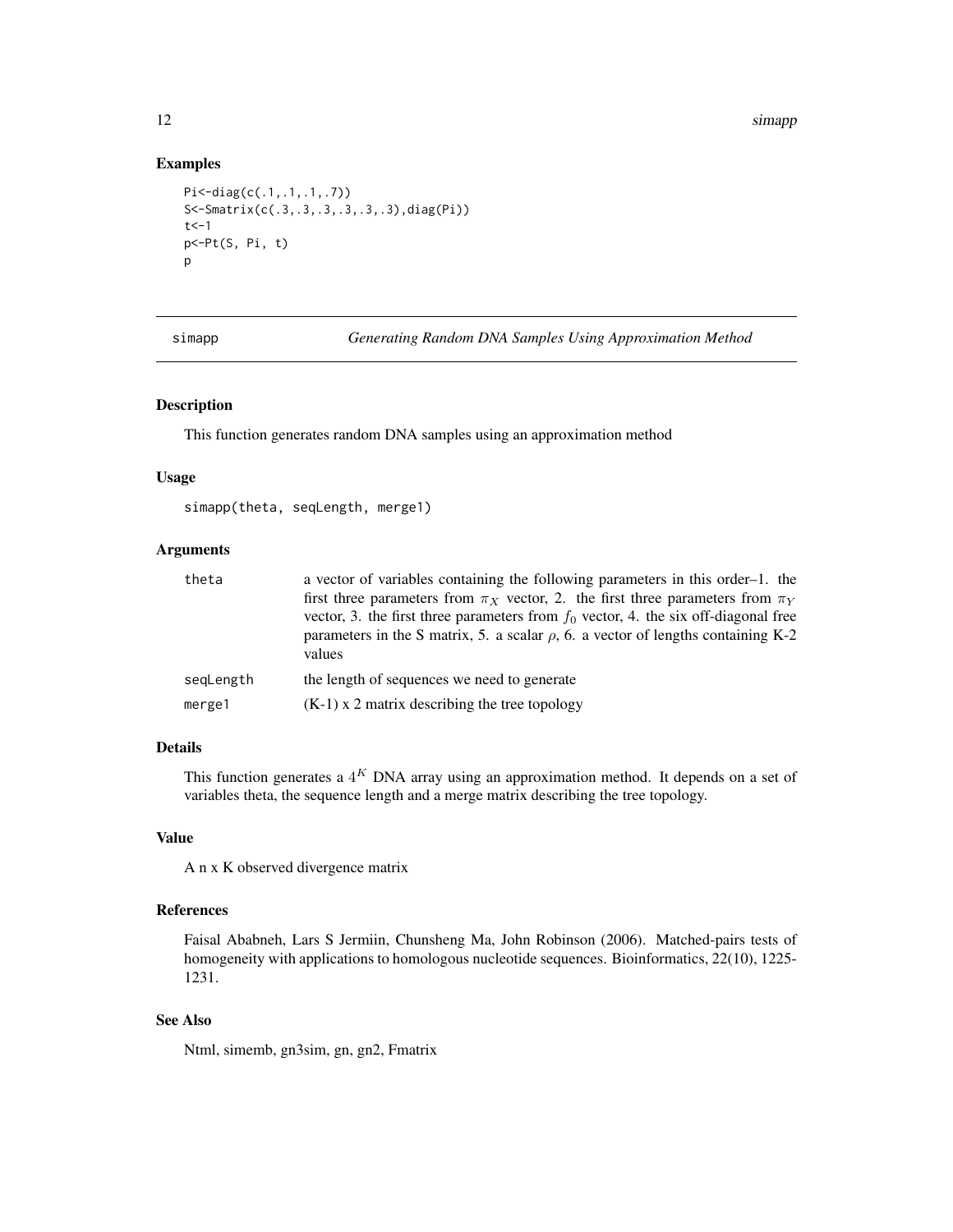```
Pi<-diag(c(.1,.1,.1,.7))
S<-Smatrix(c(.3,.3,.3,.3,.3,.3),diag(Pi))
t <-1
p<-Pt(S, Pi, t)
p
```
simapp *Generating Random DNA Samples Using Approximation Method*

# Description

This function generates random DNA samples using an approximation method

# Usage

```
simapp(theta, seqLength, merge1)
```
# Arguments

| theta     | a vector of variables containing the following parameters in this order-1. the<br>first three parameters from $\pi_X$ vector, 2. the first three parameters from $\pi_Y$<br>vector, 3. the first three parameters from $f_0$ vector, 4. the six off-diagonal free<br>parameters in the S matrix, 5. a scalar $\rho$ , 6. a vector of lengths containing K-2<br>values |
|-----------|-----------------------------------------------------------------------------------------------------------------------------------------------------------------------------------------------------------------------------------------------------------------------------------------------------------------------------------------------------------------------|
| segLength | the length of sequences we need to generate                                                                                                                                                                                                                                                                                                                           |
| merge1    | $(K-1)$ x 2 matrix describing the tree topology                                                                                                                                                                                                                                                                                                                       |

# Details

This function generates a  $4^K$  DNA array using an approximation method. It depends on a set of variables theta, the sequence length and a merge matrix describing the tree topology.

### Value

A n x K observed divergence matrix

#### References

Faisal Ababneh, Lars S Jermiin, Chunsheng Ma, John Robinson (2006). Matched-pairs tests of homogeneity with applications to homologous nucleotide sequences. Bioinformatics, 22(10), 1225-1231.

# See Also

Ntml, simemb, gn3sim, gn, gn2, Fmatrix

<span id="page-11-0"></span>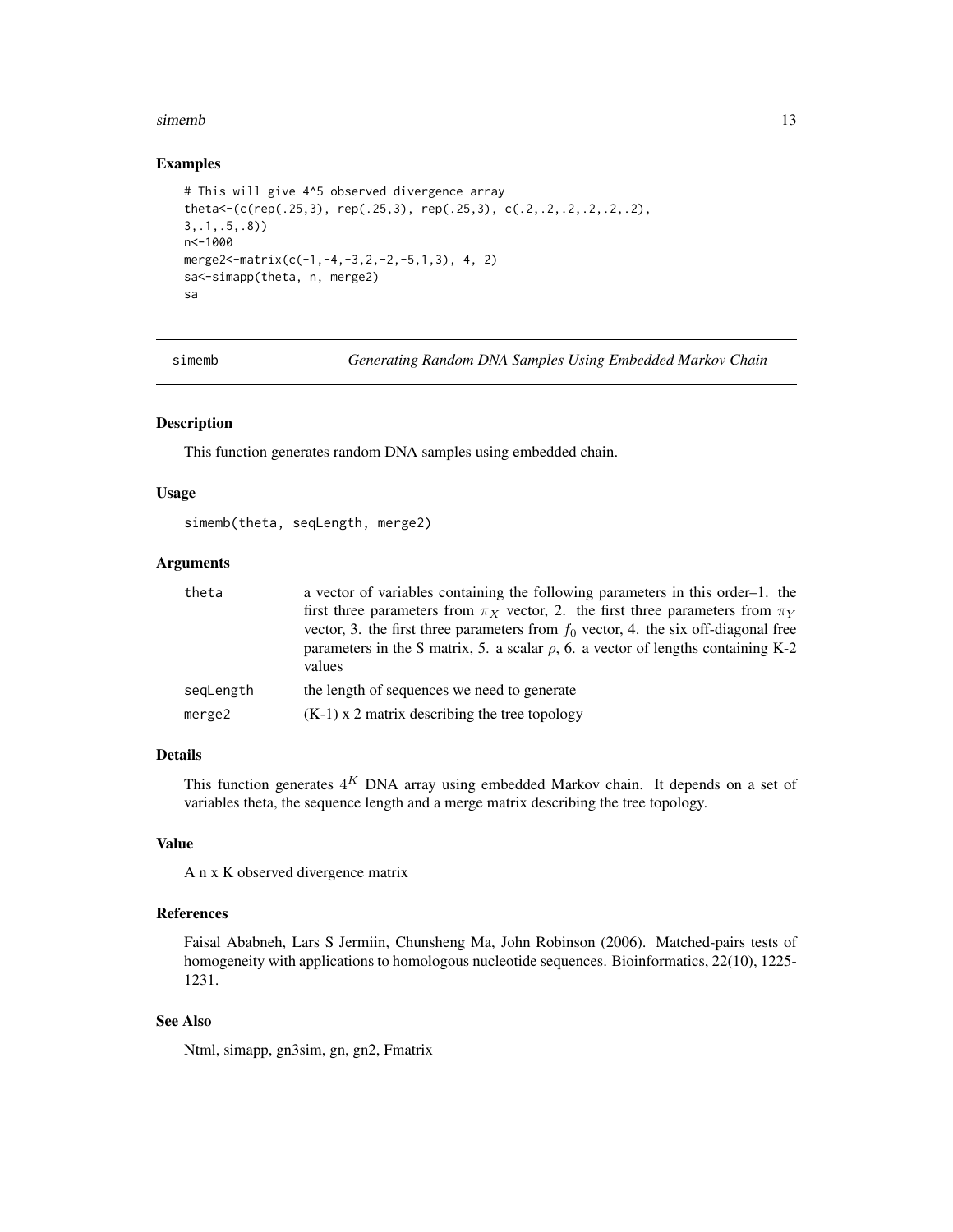#### <span id="page-12-0"></span>simemb 13

#### Examples

```
# This will give 4^5 observed divergence array
theta<-(c(rep(.25,3), rep(.25,3), rep(.25,3), c(.2,.2,.2,.2,.2,.2),
3,.1,.5,.8))
n<-1000
merge2<-matrix(c(-1,-4,-3,2,-2,-5,1,3), 4, 2)
sa<-simapp(theta, n, merge2)
sa
```
simemb *Generating Random DNA Samples Using Embedded Markov Chain*

#### Description

This function generates random DNA samples using embedded chain.

#### Usage

```
simemb(theta, seqLength, merge2)
```
# Arguments

| theta     | a vector of variables containing the following parameters in this order-1. the                                                                                                  |
|-----------|---------------------------------------------------------------------------------------------------------------------------------------------------------------------------------|
|           | first three parameters from $\pi_X$ vector, 2. the first three parameters from $\pi_Y$<br>vector, 3. the first three parameters from $f_0$ vector, 4. the six off-diagonal free |
|           | parameters in the S matrix, 5. a scalar $\rho$ , 6. a vector of lengths containing K-2<br>values                                                                                |
| segLength | the length of sequences we need to generate                                                                                                                                     |
| merge2    | $(K-1)$ x 2 matrix describing the tree topology                                                                                                                                 |

#### Details

This function generates  $4^K$  DNA array using embedded Markov chain. It depends on a set of variables theta, the sequence length and a merge matrix describing the tree topology.

#### Value

A n x K observed divergence matrix

#### References

Faisal Ababneh, Lars S Jermiin, Chunsheng Ma, John Robinson (2006). Matched-pairs tests of homogeneity with applications to homologous nucleotide sequences. Bioinformatics, 22(10), 1225- 1231.

# See Also

Ntml, simapp, gn3sim, gn, gn2, Fmatrix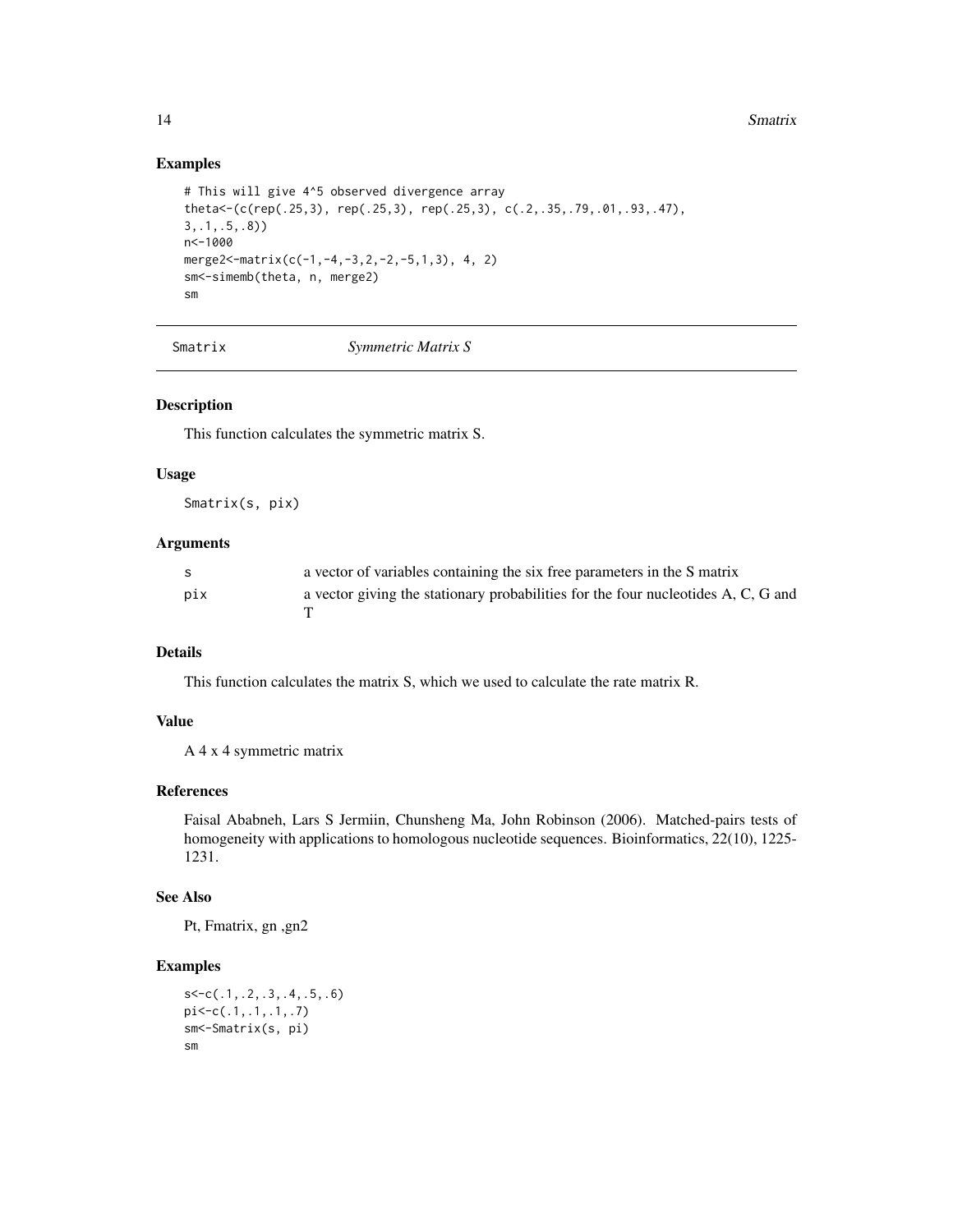```
# This will give 4^5 observed divergence array
theta<-(c(rep(.25,3), rep(.25,3), rep(.25,3), c(.2,.35,.79,.01,.93,.47),
3,.1,.5,.8))
n<-1000
merge2<-matrix(c(-1,-4,-3,2,-2,-5,1,3), 4, 2)
sm<-simemb(theta, n, merge2)
sm
```
Smatrix *Symmetric Matrix S*

#### Description

This function calculates the symmetric matrix S.

#### Usage

Smatrix(s, pix)

# Arguments

| -S  | a vector of variables containing the six free parameters in the S matrix          |
|-----|-----------------------------------------------------------------------------------|
| pix | a vector giving the stationary probabilities for the four nucleotides A, C, G and |

# Details

This function calculates the matrix S, which we used to calculate the rate matrix R.

### Value

A 4 x 4 symmetric matrix

#### References

Faisal Ababneh, Lars S Jermiin, Chunsheng Ma, John Robinson (2006). Matched-pairs tests of homogeneity with applications to homologous nucleotide sequences. Bioinformatics, 22(10), 1225- 1231.

# See Also

Pt, Fmatrix, gn ,gn2

```
s<-c(.1,.2,.3,.4,.5,.6)
pi<-c(.1,.1,.1,.7)
sm<-Smatrix(s, pi)
sm
```
<span id="page-13-0"></span>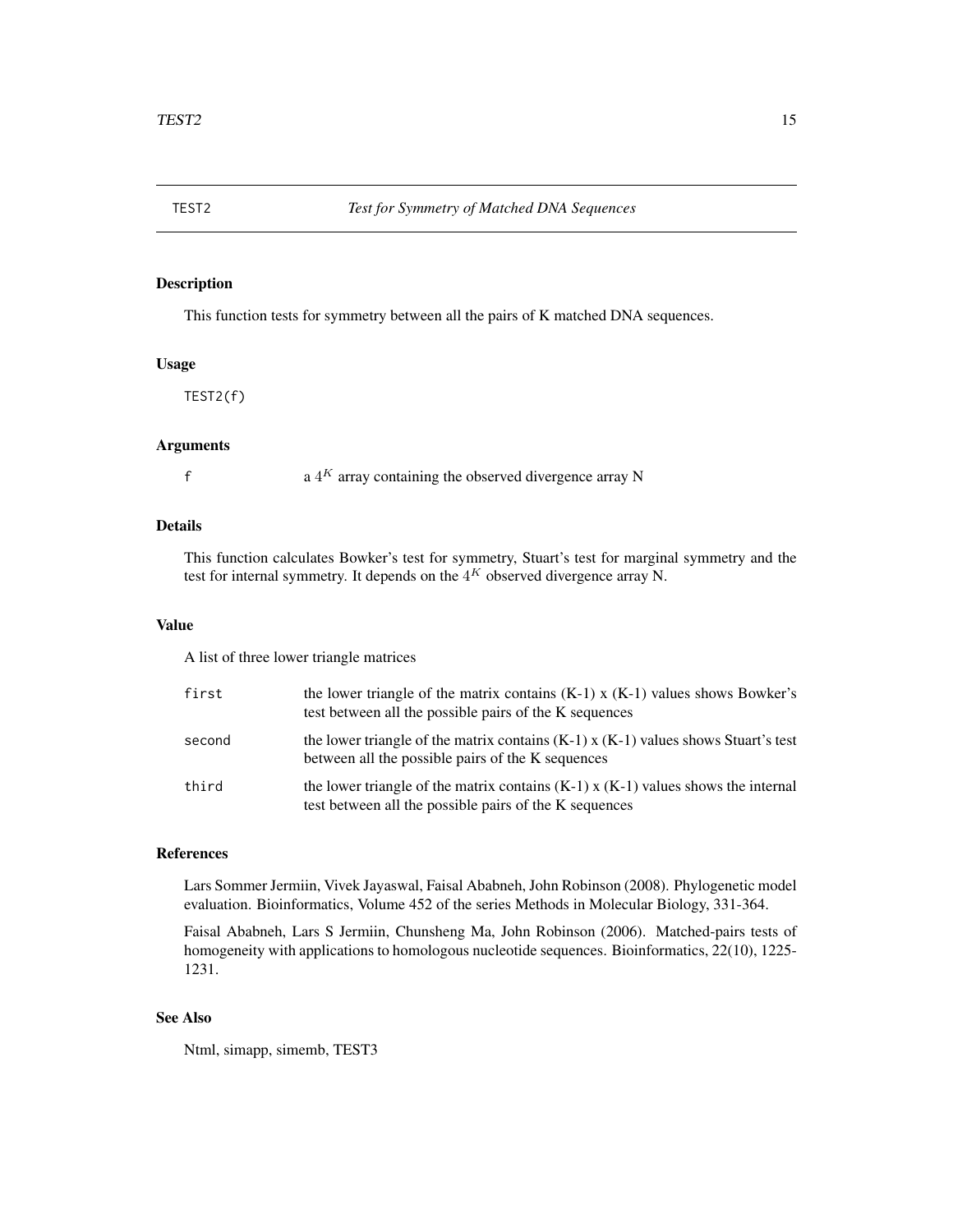<span id="page-14-0"></span>

# Description

This function tests for symmetry between all the pairs of K matched DNA sequences.

#### Usage

TEST2(f)

# Arguments

 $A^K$  array containing the observed divergence array N

#### Details

This function calculates Bowker's test for symmetry, Stuart's test for marginal symmetry and the test for internal symmetry. It depends on the  $4^K$  observed divergence array N.

### Value

A list of three lower triangle matrices

| first  | the lower triangle of the matrix contains $(K-1)$ x $(K-1)$ values shows Bowker's<br>test between all the possible pairs of the K sequences     |
|--------|-------------------------------------------------------------------------------------------------------------------------------------------------|
| second | the lower triangle of the matrix contains $(K-1)$ x $(K-1)$ values shows Stuart's test<br>between all the possible pairs of the K sequences     |
| third  | the lower triangle of the matrix contains $(K-1)$ x $(K-1)$ values shows the internal<br>test between all the possible pairs of the K sequences |

#### References

Lars Sommer Jermiin, Vivek Jayaswal, Faisal Ababneh, John Robinson (2008). Phylogenetic model evaluation. Bioinformatics, Volume 452 of the series Methods in Molecular Biology, 331-364.

Faisal Ababneh, Lars S Jermiin, Chunsheng Ma, John Robinson (2006). Matched-pairs tests of homogeneity with applications to homologous nucleotide sequences. Bioinformatics, 22(10), 1225-1231.

# See Also

Ntml, simapp, simemb, TEST3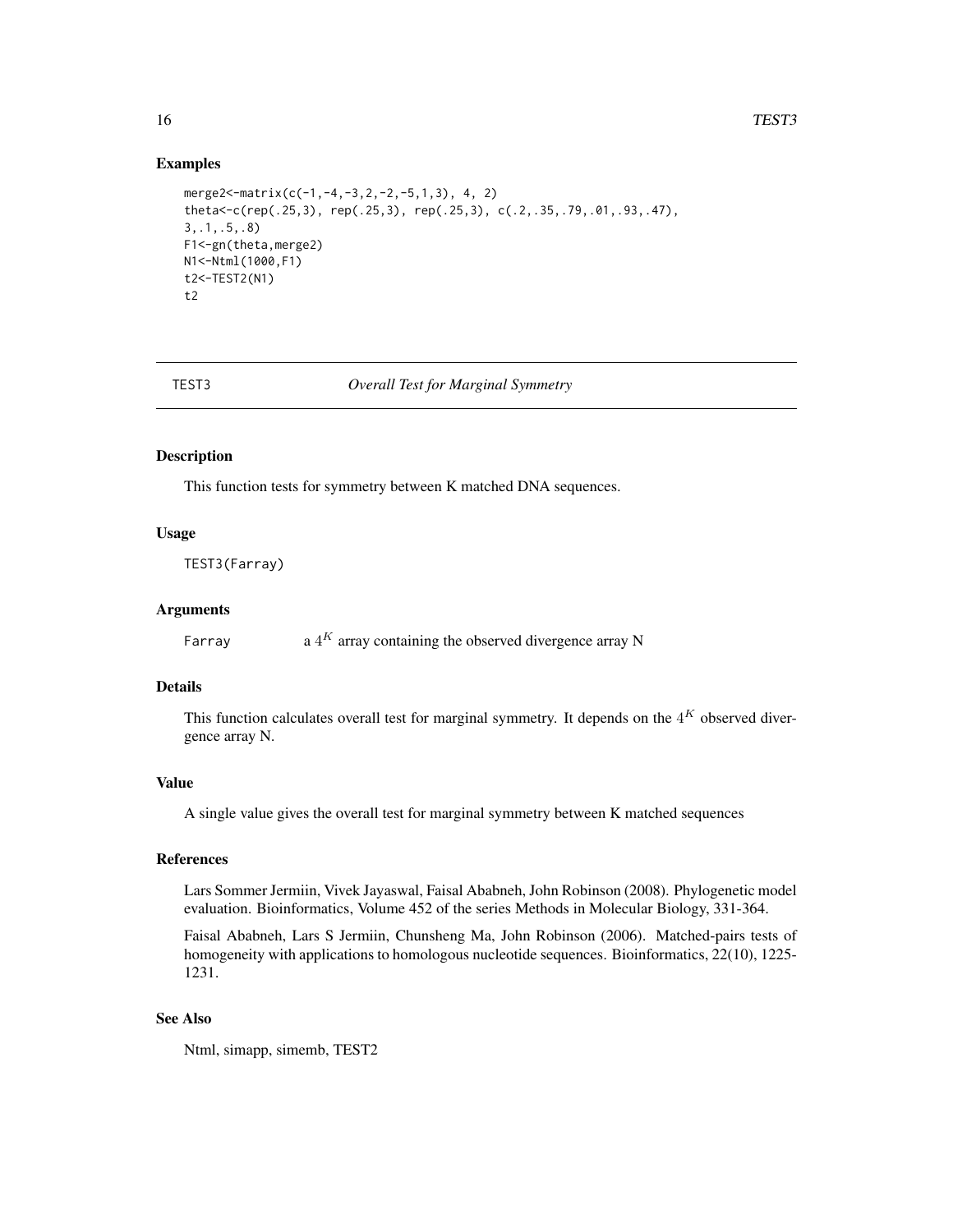```
merge2<-matrix(c(-1, -4, -3, 2, -2, -5, 1, 3), 4, 2)
theta<-c(rep(.25,3), rep(.25,3), rep(.25,3), c(.2,.35,.79,.01,.93,.47),
3,.1,.5,.8)
F1<-gn(theta,merge2)
N1<-Ntml(1000,F1)
t2<-TEST2(N1)
t2
```
TEST3 *Overall Test for Marginal Symmetry*

#### Description

This function tests for symmetry between K matched DNA sequences.

#### Usage

TEST3(Farray)

#### Arguments

Farray a  $4^K$  array containing the observed divergence array N

# Details

This function calculates overall test for marginal symmetry. It depends on the  $4^K$  observed divergence array N.

# Value

A single value gives the overall test for marginal symmetry between K matched sequences

# References

Lars Sommer Jermiin, Vivek Jayaswal, Faisal Ababneh, John Robinson (2008). Phylogenetic model evaluation. Bioinformatics, Volume 452 of the series Methods in Molecular Biology, 331-364.

Faisal Ababneh, Lars S Jermiin, Chunsheng Ma, John Robinson (2006). Matched-pairs tests of homogeneity with applications to homologous nucleotide sequences. Bioinformatics, 22(10), 1225-1231.

# See Also

Ntml, simapp, simemb, TEST2

<span id="page-15-0"></span>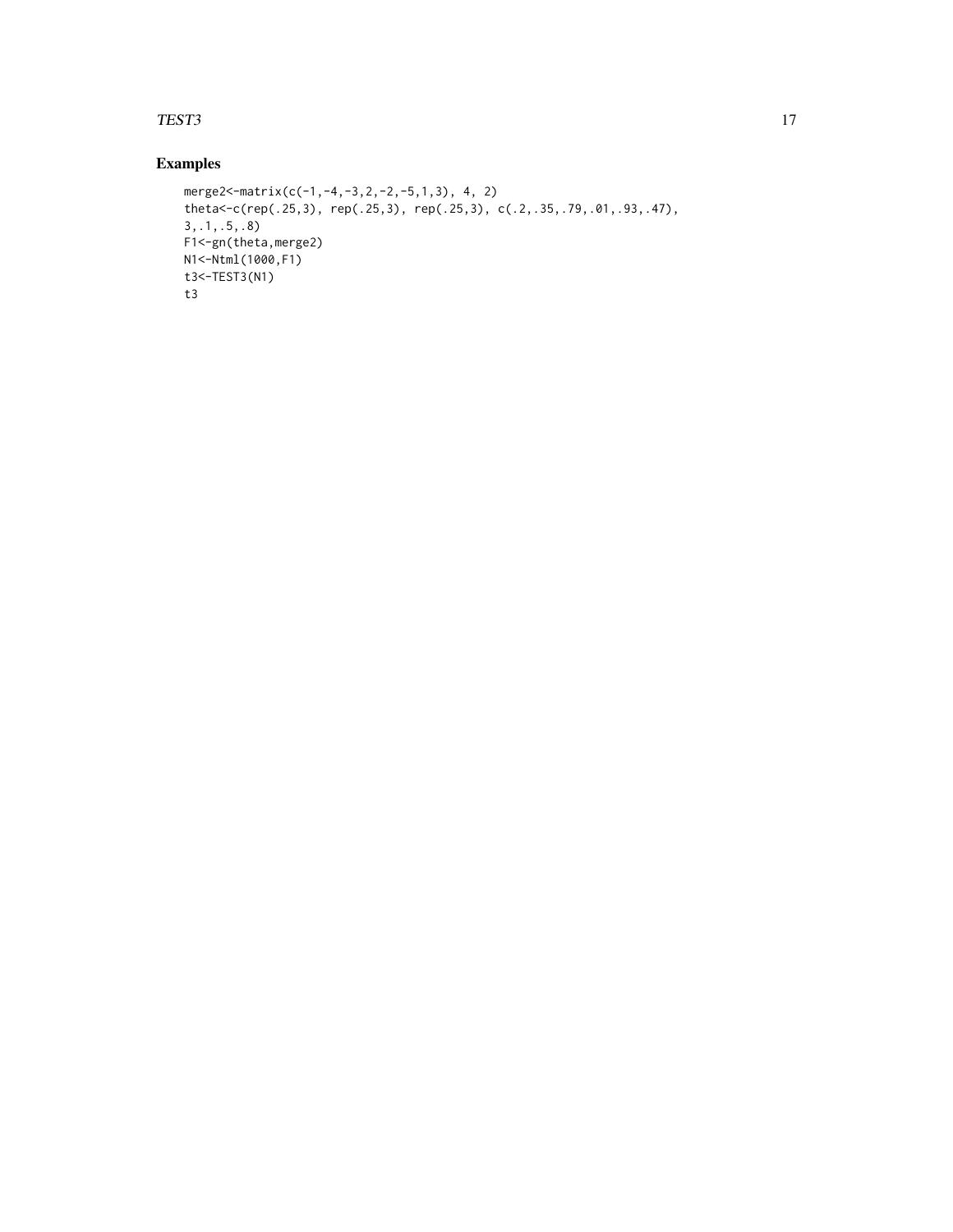#### TEST3 17

```
merge2<-matrix(c(-1,-4,-3,2,-2,-5,1,3), 4, 2)
theta<-c(rep(.25,3), rep(.25,3), rep(.25,3), c(.2,.35,.79,.01,.93,.47),
3,.1,.5,.8)
F1<-gn(theta,merge2)
N1<-Ntml(1000,F1)
t3<-TEST3(N1)
t3
```